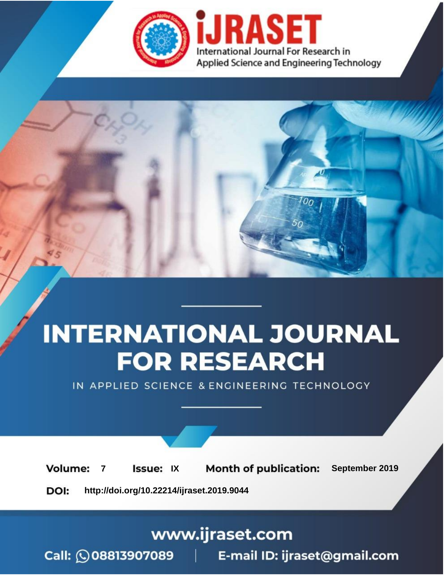

# **INTERNATIONAL JOURNAL FOR RESEARCH**

IN APPLIED SCIENCE & ENGINEERING TECHNOLOGY

**Month of publication: Volume: Issue: IX** September 2019  $\overline{7}$ DOI: http://doi.org/10.22214/ijraset.2019.9044

www.ijraset.com

 $Call: \bigcirc$ 08813907089 E-mail ID: ijraset@gmail.com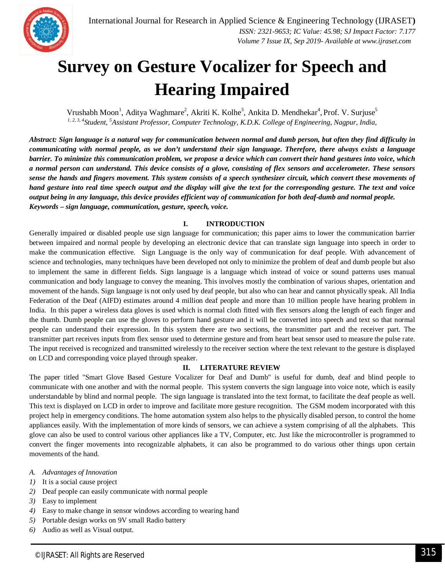

### **Survey on Gesture Vocalizer for Speech and Hearing Impaired**

Vrushabh Moon<sup>1</sup>, Aditya Waghmare<sup>2</sup>, Akriti K. Kolhe<sup>3</sup>, Ankita D. Mendhekar<sup>4</sup>, Prof. V. Surjuse<sup>5</sup> *1, 2, 3, 4Student, <sup>5</sup>Assistant Professor, Computer Technology, K.D.K. College of Engineering, Nagpur, India,* 

*Abstract: Sign language is a natural way for communication between normal and dumb person, but often they find difficulty in communicating with normal people, as we don't understand their sign language. Therefore, there always exists a language barrier. To minimize this communication problem, we propose a device which can convert their hand gestures into voice, which a normal person can understand. This device consists of a glove, consisting of flex sensors and accelerometer. These sensors sense the hands and fingers movement. This system consists of a speech synthesizer circuit, which convert these movements of hand gesture into real time speech output and the display will give the text for the corresponding gesture. The text and voice output being in any language, this device provides efficient way of communication for both deaf-dumb and normal people. Keywords – sign language, communication, gesture, speech, voice.*

#### **I. INTRODUCTION**

Generally impaired or disabled people use sign language for communication; this paper aims to lower the communication barrier between impaired and normal people by developing an electronic device that can translate sign language into speech in order to make the communication effective. Sign Language is the only way of communication for deaf people. With advancement of science and technologies, many techniques have been developed not only to minimize the problem of deaf and dumb people but also to implement the same in different fields. Sign language is a language which instead of voice or sound patterns uses manual communication and body language to convey the meaning. This involves mostly the combination of various shapes, orientation and movement of the hands. Sign language is not only used by deaf people, but also who can hear and cannot physically speak. All India Federation of the Deaf (AIFD) estimates around 4 million deaf people and more than 10 million people have hearing problem in India. In this paper a wireless data gloves is used which is normal cloth fitted with flex sensors along the length of each finger and the thumb. Dumb people can use the gloves to perform hand gesture and it will be converted into speech and text so that normal people can understand their expression. In this system there are two sections, the transmitter part and the receiver part. The transmitter part receives inputs from flex sensor used to determine gesture and from heart beat sensor used to measure the pulse rate. The input received is recognized and transmitted wirelessly to the receiver section where the text relevant to the gesture is displayed on LCD and corresponding voice played through speaker.

#### **II. LITERATURE REVIEW**

The paper titled "Smart Glove Based Gesture Vocalizer for Deaf and Dumb" is useful for dumb, deaf and blind people to communicate with one another and with the normal people. This system converts the sign language into voice note, which is easily understandable by blind and normal people. The sign language is translated into the text format, to facilitate the deaf people as well. This text is displayed on LCD in order to improve and facilitate more gesture recognition. The GSM modem incorporated with this project help in emergency conditions. The home automation system also helps to the physically disabled person, to control the home appliances easily. With the implementation of more kinds of sensors, we can achieve a system comprising of all the alphabets. This glove can also be used to control various other appliances like a TV, Computer, etc. Just like the microcontroller is programmed to convert the finger movements into recognizable alphabets, it can also be programmed to do various other things upon certain movements of the hand.

- *A. Advantages of Innovation*
- *1)* It is a social cause project
- *2)* Deaf people can easily communicate with normal people
- *3)* Easy to implement
- *4)* Easy to make change in sensor windows according to wearing hand
- *5)* Portable design works on 9V small Radio battery
- *6)* Audio as well as Visual output.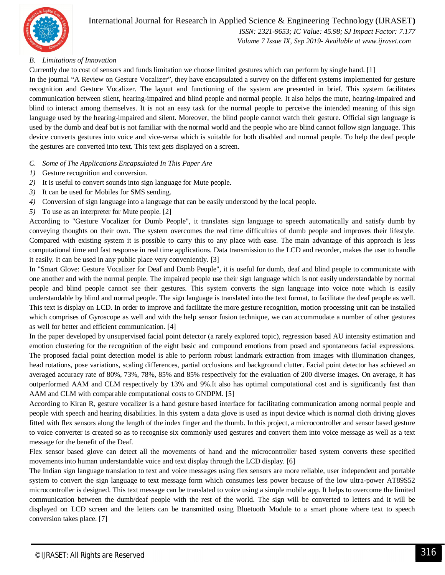

 *ISSN: 2321-9653; IC Value: 45.98; SJ Impact Factor: 7.177 Volume 7 Issue IX, Sep 2019- Available at www.ijraset.com*

#### *B. Limitations of Innovation*

Currently due to cost of sensors and funds limitation we choose limited gestures which can perform by single hand. [1]

In the journal "A Review on Gesture Vocalizer", they have encapsulated a survey on the different systems implemented for gesture recognition and Gesture Vocalizer. The layout and functioning of the system are presented in brief. This system facilitates communication between silent, hearing-impaired and blind people and normal people. It also helps the mute, hearing-impaired and blind to interact among themselves. It is not an easy task for the normal people to perceive the intended meaning of this sign language used by the hearing-impaired and silent. Moreover, the blind people cannot watch their gesture. Official sign language is used by the dumb and deaf but is not familiar with the normal world and the people who are blind cannot follow sign language. This device converts gestures into voice and vice-versa which is suitable for both disabled and normal people. To help the deaf people the gestures are converted into text. This text gets displayed on a screen.

- *C. Some of The Applications Encapsulated In This Paper Are*
- *1)* Gesture recognition and conversion.
- *2)* It is useful to convert sounds into sign language for Mute people.
- *3)* It can be used for Mobiles for SMS sending.
- *4)* Conversion of sign language into a language that can be easily understood by the local people.
- *5)* To use as an interpreter for Mute people. [2]

According to "Gesture Vocalizer for Dumb People", it translates sign language to speech automatically and satisfy dumb by conveying thoughts on their own. The system overcomes the real time difficulties of dumb people and improves their lifestyle. Compared with existing system it is possible to carry this to any place with ease. The main advantage of this approach is less computational time and fast response in real time applications. Data transmission to the LCD and recorder, makes the user to handle it easily. It can be used in any public place very conveniently. [3]

In "Smart Glove: Gesture Vocalizer for Deaf and Dumb People", it is useful for dumb, deaf and blind people to communicate with one another and with the normal people. The impaired people use their sign language which is not easily understandable by normal people and blind people cannot see their gestures. This system converts the sign language into voice note which is easily understandable by blind and normal people. The sign language is translated into the text format, to facilitate the deaf people as well. This text is display on LCD. In order to improve and facilitate the more gesture recognition, motion processing unit can be installed which comprises of Gyroscope as well and with the help sensor fusion technique, we can accommodate a number of other gestures as well for better and efficient communication. [4]

In the paper developed by unsupervised facial point detector (a rarely explored topic), regression based AU intensity estimation and emotion clustering for the recognition of the eight basic and compound emotions from posed and spontaneous facial expressions. The proposed facial point detection model is able to perform robust landmark extraction from images with illumination changes, head rotations, pose variations, scaling differences, partial occlusions and background clutter. Facial point detector has achieved an averaged accuracy rate of 80%, 73%, 78%, 85% and 85% respectively for the evaluation of 200 diverse images. On average, it has outperformed AAM and CLM respectively by 13% and 9%.It also has optimal computational cost and is significantly fast than AAM and CLM with comparable computational costs to GNDPM. [5]

According to Kiran R, gesture vocalizer is a hand gesture based interface for facilitating communication among normal people and people with speech and hearing disabilities. In this system a data glove is used as input device which is normal cloth driving gloves fitted with flex sensors along the length of the index finger and the thumb. In this project, a microcontroller and sensor based gesture to voice converter is created so as to recognise six commonly used gestures and convert them into voice message as well as a text message for the benefit of the Deaf.

Flex sensor based glove can detect all the movements of hand and the microcontroller based system converts these specified movements into human understandable voice and text display through the LCD display. [6]

The Indian sign language translation to text and voice messages using flex sensors are more reliable, user independent and portable system to convert the sign language to text message form which consumes less power because of the low ultra-power AT89S52 microcontroller is designed. This text message can be translated to voice using a simple mobile app. It helps to overcome the limited communication between the dumb/deaf people with the rest of the world. The sign will be converted to letters and it will be displayed on LCD screen and the letters can be transmitted using Bluetooth Module to a smart phone where text to speech conversion takes place. [7]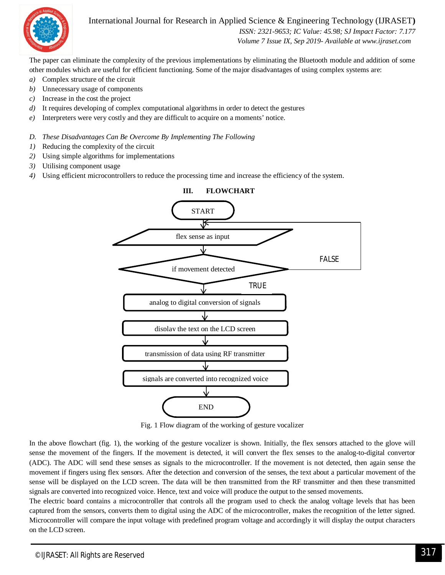

#### International Journal for Research in Applied Science & Engineering Technology (IJRASET**)**

 *ISSN: 2321-9653; IC Value: 45.98; SJ Impact Factor: 7.177 Volume 7 Issue IX, Sep 2019- Available at www.ijraset.com*

The paper can eliminate the complexity of the previous implementations by eliminating the Bluetooth module and addition of some other modules which are useful for efficient functioning. Some of the major disadvantages of using complex systems are:

- *a)* Complex structure of the circuit
- *b)* Unnecessary usage of components
- *c)* Increase in the cost the project
- *d)* It requires developing of complex computational algorithms in order to detect the gestures
- *e)* Interpreters were very costly and they are difficult to acquire on a moments' notice.

#### *D. These Disadvantages Can Be Overcome By Implementing The Following*

- *1)* Reducing the complexity of the circuit
- *2)* Using simple algorithms for implementations
- *3)* Utilising component usage
- *4)* Using efficient microcontrollers to reduce the processing time and increase the efficiency of the system.



Fig. 1 Flow diagram of the working of gesture vocalizer

In the above flowchart (fig. 1), the working of the gesture vocalizer is shown. Initially, the flex sensors attached to the glove will sense the movement of the fingers. If the movement is detected, it will convert the flex senses to the analog-to-digital convertor (ADC). The ADC will send these senses as signals to the microcontroller. If the movement is not detected, then again sense the movement if fingers using flex sensors. After the detection and conversion of the senses, the text about a particular movement of the sense will be displayed on the LCD screen. The data will be then transmitted from the RF transmitter and then these transmitted signals are converted into recognized voice. Hence, text and voice will produce the output to the sensed movements.

The electric board contains a microcontroller that controls all the program used to check the analog voltage levels that has been captured from the sensors, converts them to digital using the ADC of the microcontroller, makes the recognition of the letter signed. Microcontroller will compare the input voltage with predefined program voltage and accordingly it will display the output characters on the LCD screen.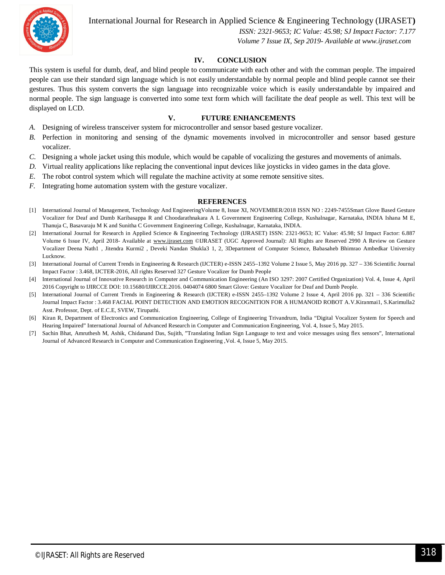

International Journal for Research in Applied Science & Engineering Technology (IJRASET**)**

 *ISSN: 2321-9653; IC Value: 45.98; SJ Impact Factor: 7.177 Volume 7 Issue IX, Sep 2019- Available at www.ijraset.com*

#### **IV. CONCLUSION**

This system is useful for dumb, deaf, and blind people to communicate with each other and with the comman people. The impaired people can use their standard sign language which is not easily understandable by normal people and blind people cannot see their gestures. Thus this system converts the sign language into recognizable voice which is easily understandable by impaired and normal people. The sign language is converted into some text form which will facilitate the deaf people as well. This text will be displayed on LCD.

#### **V. FUTURE ENHANCEMENTS**

- *A.* Designing of wireless transceiver system for microcontroller and sensor based gesture vocalizer.
- *B.* Perfection in monitoring and sensing of the dynamic movements involved in microcontroller and sensor based gesture vocalizer.
- *C.* Designing a whole jacket using this module, which would be capable of vocalizing the gestures and movements of animals.
- *D.* Virtual reality applications like replacing the conventional input devices like joysticks in video games in the data glove.
- *E.* The robot control system which will regulate the machine activity at some remote sensitive sites.
- *F.* Integrating home automation system with the gesture vocalizer.

#### **REFERENCES**

- [1] International Journal of Management, Technology And EngineeringVolume 8, Issue XI, NOVEMBER/2018 ISSN NO : 2249-7455Smart Glove Based Gesture Vocalizer for Deaf and Dumb Karibasappa R and Choodarathnakara A L Government Engineering College, Kushalnagar, Karnataka, INDIA Ishana M E, Thanuja C, Basavaraju M K and Sunitha C Government Engineering College, Kushalnagar, Karnataka, INDIA.
- [2] International Journal for Research in Applied Science & Engineering Technology (IJRASET) ISSN: 2321-9653; IC Value: 45.98; SJ Impact Factor: 6.887 Volume 6 Issue IV, April 2018- Available at www.ijraset.com ©IJRASET (UGC Approved Journal): All Rights are Reserved 2990 A Review on Gesture Vocalizer Deena Nath1 , Jitendra Kurmi2 , Deveki Nandan Shukla3 1, 2, 3Department of Computer Science, Babasaheb Bhimrao Ambedkar University Lucknow.
- [3] International Journal of Current Trends in Engineering & Research (IJCTER) e-ISSN 2455–1392 Volume 2 Issue 5, May 2016 pp. 327 336 Scientific Journal Impact Factor : 3.468, IJCTER-2016, All rights Reserved 327 Gesture Vocalizer for Dumb People
- [4] International Journal of Innovative Research in Computer and Communication Engineering (An ISO 3297: 2007 Certified Organization) Vol. 4, Issue 4, April 2016 Copyright to IJIRCCE DOI: 10.15680/IJIRCCE.2016. 0404074 6800 Smart Glove: Gesture Vocalizer for Deaf and Dumb People.
- [5] International Journal of Current Trends in Engineering & Research (IJCTER) e-ISSN 2455–1392 Volume 2 Issue 4, April 2016 pp. 321 336 Scientific Journal Impact Factor : 3.468 FACIAL POINT DETECTION AND EMOTION RECOGNITION FOR A HUMANOID ROBOT A.V.Kiranmai1, S.Karimulla2 Asst. Professor, Dept. of E.C.E, SVEW, Tirupathi.
- [6] Kiran R, Department of Electronics and Communication Engineering, College of Engineering Trivandrum, India "Digital Vocalizer System for Speech and Hearing Impaired" International Journal of Advanced Research in Computer and Communication Engineering, Vol. 4, Issue 5, May 2015.
- [7] Sachin Bhat, Amruthesh M, Ashik, Chidanand Das, Sujith, "Translating Indian Sign Language to text and voice messages using flex sensors", International Journal of Advanced Research in Computer and Communication Engineering ,Vol. 4, Issue 5, May 2015.